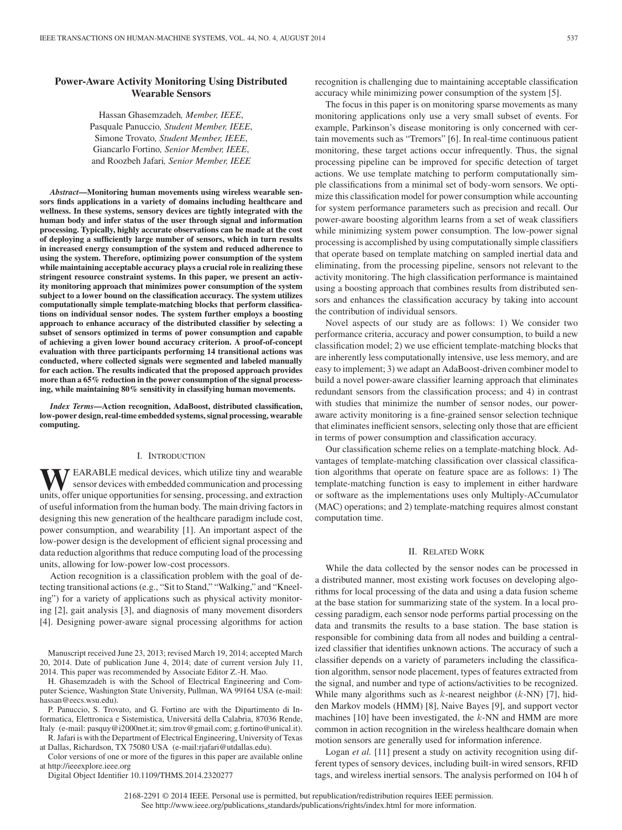# **Power-Aware Activity Monitoring Using Distributed Wearable Sensors**

Hassan Ghasemzadeh*, Member, IEEE*, Pasquale Panuccio*, Student Member, IEEE*, Simone Trovato*, Student Member, IEEE*, Giancarlo Fortino*, Senior Member, IEEE*, and Roozbeh Jafari*, Senior Member, IEEE*

*Abstract***—Monitoring human movements using wireless wearable sensors finds applications in a variety of domains including healthcare and wellness. In these systems, sensory devices are tightly integrated with the human body and infer status of the user through signal and information processing. Typically, highly accurate observations can be made at the cost of deploying a sufficiently large number of sensors, which in turn results in increased energy consumption of the system and reduced adherence to using the system. Therefore, optimizing power consumption of the system while maintaining acceptable accuracy plays a crucial role in realizing these stringent resource constraint systems. In this paper, we present an activity monitoring approach that minimizes power consumption of the system subject to a lower bound on the classification accuracy. The system utilizes computationally simple template-matching blocks that perform classifications on individual sensor nodes. The system further employs a boosting approach to enhance accuracy of the distributed classifier by selecting a subset of sensors optimized in terms of power consumption and capable of achieving a given lower bound accuracy criterion. A proof-of-concept evaluation with three participants performing 14 transitional actions was conducted, where collected signals were segmented and labeled manually for each action. The results indicated that the proposed approach provides more than a 65% reduction in the power consumption of the signal processing, while maintaining 80% sensitivity in classifying human movements.**

*Index Terms***—Action recognition, AdaBoost, distributed classification, low-power design, real-time embedded systems, signal processing, wearable computing.**

### I. INTRODUCTION

**T** EARABLE medical devices, which utilize tiny and wearable sensor devices with embedded communication and processing units, offer unique opportunities for sensing, processing, and extraction of useful information from the human body. The main driving factors in designing this new generation of the healthcare paradigm include cost, power consumption, and wearability [1]. An important aspect of the low-power design is the development of efficient signal processing and data reduction algorithms that reduce computing load of the processing units, allowing for low-power low-cost processors.

Action recognition is a classification problem with the goal of detecting transitional actions (e.g., "Sit to Stand," "Walking," and "Kneeling") for a variety of applications such as physical activity monitoring [2], gait analysis [3], and diagnosis of many movement disorders [4]. Designing power-aware signal processing algorithms for action

Manuscript received June 23, 2013; revised March 19, 2014; accepted March 20, 2014. Date of publication June 4, 2014; date of current version July 11, 2014. This paper was recommended by Associate Editor Z.-H. Mao.

H. Ghasemzadeh is with the School of Electrical Engineering and Computer Science, Washington State University, Pullman, WA 99164 USA (e-mail: hassan@eecs.wsu.edu).

P. Panuccio, S. Trovato, and G. Fortino are with the Dipartimento di Informatica, Elettronica e Sistemistica, Universita della Calabria, 87036 Rende, ´ Italy (e-mail: pasquy@i2000net.it; sim.trov@gmail.com; g.fortino@unical.it). R. Jafari is with the Department of Electrical Engineering, University of Texas

at Dallas, Richardson, TX 75080 USA (e-mail:rjafari@utdallas.edu).

Color versions of one or more of the figures in this paper are available online at http://ieeexplore.ieee.org

Digital Object Identifier 10.1109/THMS.2014.2320277

recognition is challenging due to maintaining acceptable classification accuracy while minimizing power consumption of the system [5].

The focus in this paper is on monitoring sparse movements as many monitoring applications only use a very small subset of events. For example, Parkinson's disease monitoring is only concerned with certain movements such as "Tremors" [6]. In real-time continuous patient monitoring, these target actions occur infrequently. Thus, the signal processing pipeline can be improved for specific detection of target actions. We use template matching to perform computationally simple classifications from a minimal set of body-worn sensors. We optimize this classification model for power consumption while accounting for system performance parameters such as precision and recall. Our power-aware boosting algorithm learns from a set of weak classifiers while minimizing system power consumption. The low-power signal processing is accomplished by using computationally simple classifiers that operate based on template matching on sampled inertial data and eliminating, from the processing pipeline, sensors not relevant to the activity monitoring. The high classification performance is maintained using a boosting approach that combines results from distributed sensors and enhances the classification accuracy by taking into account the contribution of individual sensors.

Novel aspects of our study are as follows: 1) We consider two performance criteria, accuracy and power consumption, to build a new classification model; 2) we use efficient template-matching blocks that are inherently less computationally intensive, use less memory, and are easy to implement; 3) we adapt an AdaBoost-driven combiner model to build a novel power-aware classifier learning approach that eliminates redundant sensors from the classification process; and 4) in contrast with studies that minimize the number of sensor nodes, our poweraware activity monitoring is a fine-grained sensor selection technique that eliminates inefficient sensors, selecting only those that are efficient in terms of power consumption and classification accuracy.

Our classification scheme relies on a template-matching block. Advantages of template-matching classification over classical classification algorithms that operate on feature space are as follows: 1) The template-matching function is easy to implement in either hardware or software as the implementations uses only Multiply-ACcumulator (MAC) operations; and 2) template-matching requires almost constant computation time.

## II. RELATED WORK

While the data collected by the sensor nodes can be processed in a distributed manner, most existing work focuses on developing algorithms for local processing of the data and using a data fusion scheme at the base station for summarizing state of the system. In a local processing paradigm, each sensor node performs partial processing on the data and transmits the results to a base station. The base station is responsible for combining data from all nodes and building a centralized classifier that identifies unknown actions. The accuracy of such a classifier depends on a variety of parameters including the classification algorithm, sensor node placement, types of features extracted from the signal, and number and type of actions/activities to be recognized. While many algorithms such as  $k$ -nearest neighbor  $(k-NN)$  [7], hidden Markov models (HMM) [8], Naive Bayes [9], and support vector machines  $[10]$  have been investigated, the  $k$ -NN and HMM are more common in action recognition in the wireless healthcare domain when motion sensors are generally used for information inference.

Logan *et al.* [11] present a study on activity recognition using different types of sensory devices, including built-in wired sensors, RFID tags, and wireless inertial sensors. The analysis performed on 104 h of

2168-2291 © 2014 IEEE. Personal use is permitted, but republication/redistribution requires IEEE permission. See http://www.ieee.org/publications\_standards/publications/rights/index.html for more information.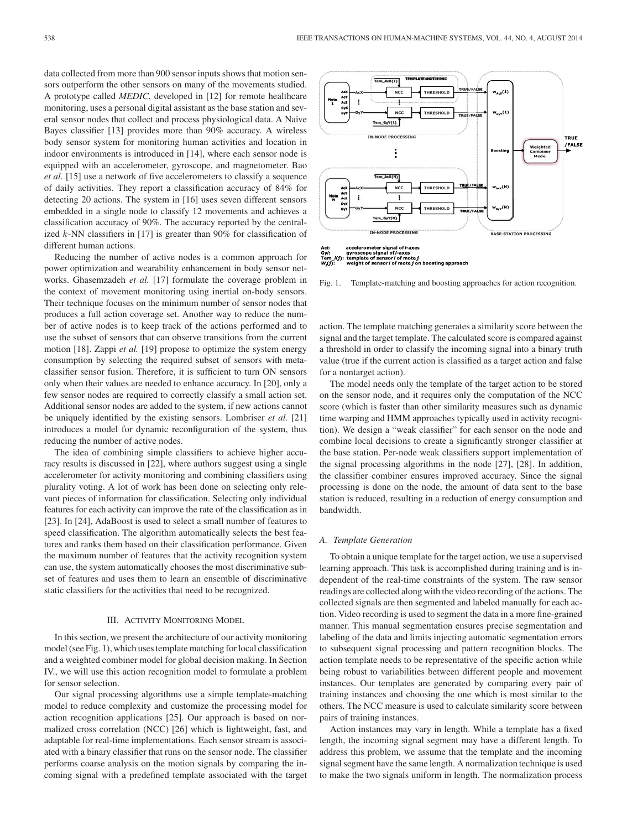data collected from more than 900 sensor inputs shows that motion sensors outperform the other sensors on many of the movements studied. A prototype called *MEDIC*, developed in [12] for remote healthcare monitoring, uses a personal digital assistant as the base station and several sensor nodes that collect and process physiological data. A Naive Bayes classifier [13] provides more than 90% accuracy. A wireless body sensor system for monitoring human activities and location in indoor environments is introduced in [14], where each sensor node is equipped with an accelerometer, gyroscope, and magnetometer. Bao *et al.* [15] use a network of five accelerometers to classify a sequence of daily activities. They report a classification accuracy of 84% for detecting 20 actions. The system in [16] uses seven different sensors embedded in a single node to classify 12 movements and achieves a classification accuracy of 90%. The accuracy reported by the centralized  $k$ -NN classifiers in [17] is greater than 90% for classification of different human actions.

Reducing the number of active nodes is a common approach for power optimization and wearability enhancement in body sensor networks. Ghasemzadeh *et al.* [17] formulate the coverage problem in the context of movement monitoring using inertial on-body sensors. Their technique focuses on the minimum number of sensor nodes that produces a full action coverage set. Another way to reduce the number of active nodes is to keep track of the actions performed and to use the subset of sensors that can observe transitions from the current motion [18]. Zappi *et al.* [19] propose to optimize the system energy consumption by selecting the required subset of sensors with metaclassifier sensor fusion. Therefore, it is sufficient to turn ON sensors only when their values are needed to enhance accuracy. In [20], only a few sensor nodes are required to correctly classify a small action set. Additional sensor nodes are added to the system, if new actions cannot be uniquely identified by the existing sensors. Lombriser *et al.* [21] introduces a model for dynamic reconfiguration of the system, thus reducing the number of active nodes.

The idea of combining simple classifiers to achieve higher accuracy results is discussed in [22], where authors suggest using a single accelerometer for activity monitoring and combining classifiers using plurality voting. A lot of work has been done on selecting only relevant pieces of information for classification. Selecting only individual features for each activity can improve the rate of the classification as in [23]. In [24], AdaBoost is used to select a small number of features to speed classification. The algorithm automatically selects the best features and ranks them based on their classification performance. Given the maximum number of features that the activity recognition system can use, the system automatically chooses the most discriminative subset of features and uses them to learn an ensemble of discriminative static classifiers for the activities that need to be recognized.

#### III. ACTIVITY MONITORING MODEL

In this section, we present the architecture of our activity monitoring model (see Fig. 1), which uses template matching for local classification and a weighted combiner model for global decision making. In Section IV., we will use this action recognition model to formulate a problem for sensor selection.

Our signal processing algorithms use a simple template-matching model to reduce complexity and customize the processing model for action recognition applications [25]. Our approach is based on normalized cross correlation (NCC) [26] which is lightweight, fast, and adaptable for real-time implementations. Each sensor stream is associated with a binary classifier that runs on the sensor node. The classifier performs coarse analysis on the motion signals by comparing the incoming signal with a predefined template associated with the target



Fig. 1. Template-matching and boosting approaches for action recognition.

action. The template matching generates a similarity score between the signal and the target template. The calculated score is compared against a threshold in order to classify the incoming signal into a binary truth value (true if the current action is classified as a target action and false for a nontarget action).

The model needs only the template of the target action to be stored on the sensor node, and it requires only the computation of the NCC score (which is faster than other similarity measures such as dynamic time warping and HMM approaches typically used in activity recognition). We design a "weak classifier" for each sensor on the node and combine local decisions to create a significantly stronger classifier at the base station. Per-node weak classifiers support implementation of the signal processing algorithms in the node [27], [28]. In addition, the classifier combiner ensures improved accuracy. Since the signal processing is done on the node, the amount of data sent to the base station is reduced, resulting in a reduction of energy consumption and bandwidth.

## *A. Template Generation*

To obtain a unique template for the target action, we use a supervised learning approach. This task is accomplished during training and is independent of the real-time constraints of the system. The raw sensor readings are collected along with the video recording of the actions. The collected signals are then segmented and labeled manually for each action. Video recording is used to segment the data in a more fine-grained manner. This manual segmentation ensures precise segmentation and labeling of the data and limits injecting automatic segmentation errors to subsequent signal processing and pattern recognition blocks. The action template needs to be representative of the specific action while being robust to variabilities between different people and movement instances. Our templates are generated by comparing every pair of training instances and choosing the one which is most similar to the others. The NCC measure is used to calculate similarity score between pairs of training instances.

Action instances may vary in length. While a template has a fixed length, the incoming signal segment may have a different length. To address this problem, we assume that the template and the incoming signal segment have the same length. A normalization technique is used to make the two signals uniform in length. The normalization process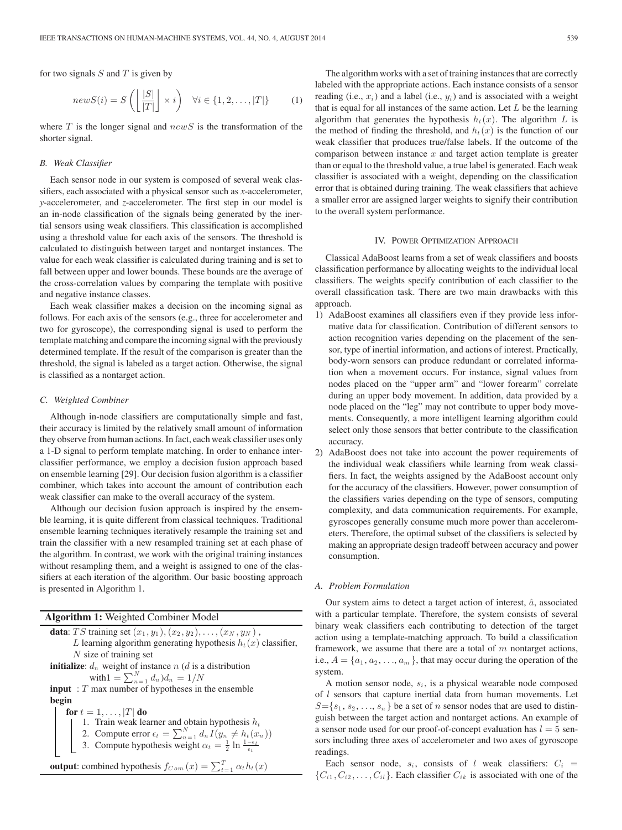for two signals  $S$  and  $T$  is given by

$$
newS(i) = S\left(\left\lfloor \frac{|S|}{|T|} \right\rfloor \times i\right) \quad \forall i \in \{1, 2, \dots, |T|\} \tag{1}
$$

where  $T$  is the longer signal and  $newS$  is the transformation of the shorter signal.

## *B. Weak Classifier*

Each sensor node in our system is composed of several weak classifiers, each associated with a physical sensor such as *x*-accelerometer, *y*-accelerometer, and *z*-accelerometer. The first step in our model is an in-node classification of the signals being generated by the inertial sensors using weak classifiers. This classification is accomplished using a threshold value for each axis of the sensors. The threshold is calculated to distinguish between target and nontarget instances. The value for each weak classifier is calculated during training and is set to fall between upper and lower bounds. These bounds are the average of the cross-correlation values by comparing the template with positive and negative instance classes.

Each weak classifier makes a decision on the incoming signal as follows. For each axis of the sensors (e.g., three for accelerometer and two for gyroscope), the corresponding signal is used to perform the template matching and compare the incoming signal with the previously determined template. If the result of the comparison is greater than the threshold, the signal is labeled as a target action. Otherwise, the signal is classified as a nontarget action.

#### *C. Weighted Combiner*

Although in-node classifiers are computationally simple and fast, their accuracy is limited by the relatively small amount of information they observe from human actions. In fact, each weak classifier uses only a 1-D signal to perform template matching. In order to enhance interclassifier performance, we employ a decision fusion approach based on ensemble learning [29]. Our decision fusion algorithm is a classifier combiner, which takes into account the amount of contribution each weak classifier can make to the overall accuracy of the system.

Although our decision fusion approach is inspired by the ensemble learning, it is quite different from classical techniques. Traditional ensemble learning techniques iteratively resample the training set and train the classifier with a new resampled training set at each phase of the algorithm. In contrast, we work with the original training instances without resampling them, and a weight is assigned to one of the classifiers at each iteration of the algorithm. Our basic boosting approach is presented in Algorithm 1.

## **Algorithm 1:** Weighted Combiner Model

**data**: *TS* training set  $(x_1, y_1), (x_2, y_2), \ldots, (x_N, y_N)$ , L learning algorithm generating hypothesis  $h_t(x)$  classifier,  $N$  size of training set **initialize**:  $d_n$  weight of instance n (d is a distribution with  $1 = \sum_{n=1}^{N} d_n d_n = 1/N$ **input** : T max number of hypotheses in the ensemble **begin for**  $t = 1, \ldots, |T|$  **do** 1. Train weak learner and obtain hypothesis  $h_t$ 2. Compute error  $\epsilon_t = \sum_{n=1}^{N} d_n I(y_n \neq h_t(x_n))$ 3. Compute hypothesis weight  $\alpha_t = \frac{1}{2} \ln \frac{1-\epsilon_t}{\epsilon_t}$ **output**: combined hypothesis  $f_{Com}(x) = \sum_{t=1}^{T} \alpha_t h_t(x)$ 

The algorithm works with a set of training instances that are correctly labeled with the appropriate actions. Each instance consists of a sensor reading (i.e.,  $x_i$ ) and a label (i.e.,  $y_i$ ) and is associated with a weight that is equal for all instances of the same action. Let  $L$  be the learning algorithm that generates the hypothesis  $h_t(x)$ . The algorithm L is the method of finding the threshold, and  $h_t(x)$  is the function of our weak classifier that produces true/false labels. If the outcome of the comparison between instance  $x$  and target action template is greater than or equal to the threshold value, a true label is generated. Each weak classifier is associated with a weight, depending on the classification error that is obtained during training. The weak classifiers that achieve a smaller error are assigned larger weights to signify their contribution to the overall system performance.

## IV. POWER OPTIMIZATION APPROACH

Classical AdaBoost learns from a set of weak classifiers and boosts classification performance by allocating weights to the individual local classifiers. The weights specify contribution of each classifier to the overall classification task. There are two main drawbacks with this approach.

- 1) AdaBoost examines all classifiers even if they provide less informative data for classification. Contribution of different sensors to action recognition varies depending on the placement of the sensor, type of inertial information, and actions of interest. Practically, body-worn sensors can produce redundant or correlated information when a movement occurs. For instance, signal values from nodes placed on the "upper arm" and "lower forearm" correlate during an upper body movement. In addition, data provided by a node placed on the "leg" may not contribute to upper body movements. Consequently, a more intelligent learning algorithm could select only those sensors that better contribute to the classification accuracy.
- 2) AdaBoost does not take into account the power requirements of the individual weak classifiers while learning from weak classifiers. In fact, the weights assigned by the AdaBoost account only for the accuracy of the classifiers. However, power consumption of the classifiers varies depending on the type of sensors, computing complexity, and data communication requirements. For example, gyroscopes generally consume much more power than accelerometers. Therefore, the optimal subset of the classifiers is selected by making an appropriate design tradeoff between accuracy and power consumption.

## *A. Problem Formulation*

Our system aims to detect a target action of interest,  $\hat{a}$ , associated with a particular template. Therefore, the system consists of several binary weak classifiers each contributing to detection of the target action using a template-matching approach. To build a classification framework, we assume that there are a total of  $m$  nontarget actions, i.e.,  $A = \{a_1, a_2, \ldots, a_m\}$ , that may occur during the operation of the system.

A motion sensor node,  $s_i$ , is a physical wearable node composed of  $l$  sensors that capture inertial data from human movements. Let  $S = \{s_1, s_2, \ldots, s_n\}$  be a set of n sensor nodes that are used to distinguish between the target action and nontarget actions. An example of a sensor node used for our proof-of-concept evaluation has  $l = 5$  sensors including three axes of accelerometer and two axes of gyroscope readings.

Each sensor node,  $s_i$ , consists of l weak classifiers:  $C_i$  =  $\{C_{i1}, C_{i2}, \ldots, C_{il}\}.$  Each classifier  $C_{ik}$  is associated with one of the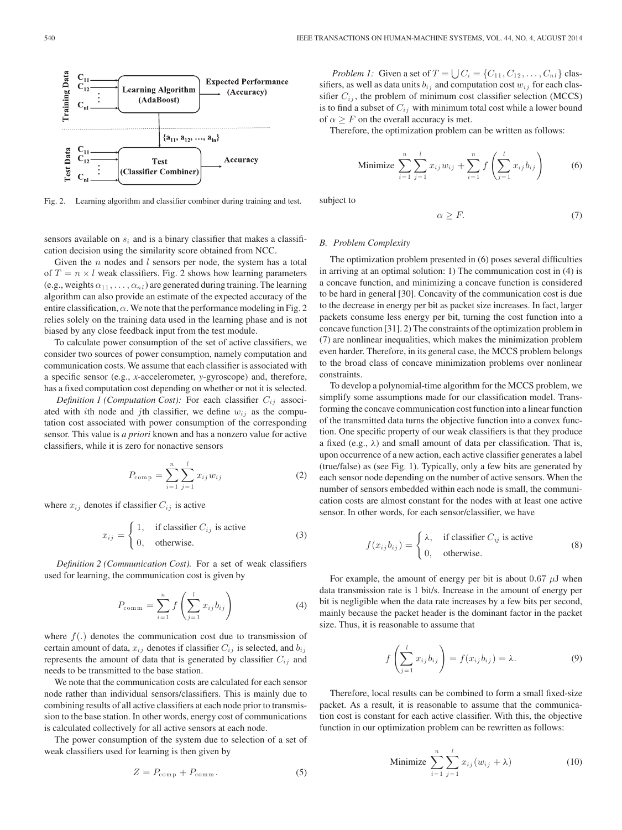

Fig. 2. Learning algorithm and classifier combiner during training and test.

sensors available on  $s_i$  and is a binary classifier that makes a classification decision using the similarity score obtained from NCC.

Given the  $n$  nodes and  $l$  sensors per node, the system has a total of  $T = n \times l$  weak classifiers. Fig. 2 shows how learning parameters (e.g., weights  $\alpha_{11}, \ldots, \alpha_{nl}$ ) are generated during training. The learning algorithm can also provide an estimate of the expected accuracy of the entire classification,  $\alpha$ . We note that the performance modeling in Fig. 2 relies solely on the training data used in the learning phase and is not biased by any close feedback input from the test module.

To calculate power consumption of the set of active classifiers, we consider two sources of power consumption, namely computation and communication costs. We assume that each classifier is associated with a specific sensor (e.g., *x*-accelerometer, *y*-gyroscope) and, therefore, has a fixed computation cost depending on whether or not it is selected.

*Definition 1 (Computation Cost):* For each classifier  $C_{ij}$  associated with ith node and jth classifier, we define  $w_{ij}$  as the computation cost associated with power consumption of the corresponding sensor. This value is *a priori* known and has a nonzero value for active classifiers, while it is zero for nonactive sensors

$$
P_{\text{comp}} = \sum_{i=1}^{n} \sum_{j=1}^{l} x_{ij} w_{ij}
$$
 (2)

where  $x_{ij}$  denotes if classifier  $C_{ij}$  is active

$$
x_{ij} = \begin{cases} 1, & \text{if classifier } C_{ij} \text{ is active} \\ 0, & \text{otherwise.} \end{cases}
$$
 (3)

*Definition 2 (Communication Cost).* For a set of weak classifiers used for learning, the communication cost is given by

$$
P_{\text{comm}} = \sum_{i=1}^{n} f\left(\sum_{j=1}^{l} x_{ij} b_{ij}\right)
$$
 (4)

where  $f(.)$  denotes the communication cost due to transmission of certain amount of data,  $x_{ij}$  denotes if classifier  $C_{ij}$  is selected, and  $b_{ij}$ represents the amount of data that is generated by classifier  $C_{ij}$  and needs to be transmitted to the base station.

We note that the communication costs are calculated for each sensor node rather than individual sensors/classifiers. This is mainly due to combining results of all active classifiers at each node prior to transmission to the base station. In other words, energy cost of communications is calculated collectively for all active sensors at each node.

The power consumption of the system due to selection of a set of weak classifiers used for learning is then given by

$$
Z = P_{\text{comp}} + P_{\text{comm}}.\tag{5}
$$

*Problem 1:* Given a set of  $T = \bigcup C_i = \{C_{11}, C_{12}, \ldots, C_{n l}\}\)$  classifiers, as well as data units  $b_{ij}$  and computation cost  $w_{ij}$  for each classifier  $C_{ij}$ , the problem of minimum cost classifier selection (MCCS) is to find a subset of  $C_{ij}$  with minimum total cost while a lower bound of  $\alpha \geq F$  on the overall accuracy is met.

Therefore, the optimization problem can be written as follows:

Minimize 
$$
\sum_{i=1}^{n} \sum_{j=1}^{l} x_{ij} w_{ij} + \sum_{i=1}^{n} f\left(\sum_{j=1}^{l} x_{ij} b_{ij}\right)
$$
 (6)

subject to

$$
\alpha \ge F. \tag{7}
$$

### *B. Problem Complexity*

The optimization problem presented in (6) poses several difficulties in arriving at an optimal solution: 1) The communication cost in (4) is a concave function, and minimizing a concave function is considered to be hard in general [30]. Concavity of the communication cost is due to the decrease in energy per bit as packet size increases. In fact, larger packets consume less energy per bit, turning the cost function into a concave function [31]. 2) The constraints of the optimization problem in (7) are nonlinear inequalities, which makes the minimization problem even harder. Therefore, in its general case, the MCCS problem belongs to the broad class of concave minimization problems over nonlinear constraints.

To develop a polynomial-time algorithm for the MCCS problem, we simplify some assumptions made for our classification model. Transforming the concave communication cost function into a linear function of the transmitted data turns the objective function into a convex function. One specific property of our weak classifiers is that they produce a fixed (e.g.,  $\lambda$ ) and small amount of data per classification. That is, upon occurrence of a new action, each active classifier generates a label (true/false) as (see Fig. 1). Typically, only a few bits are generated by each sensor node depending on the number of active sensors. When the number of sensors embedded within each node is small, the communication costs are almost constant for the nodes with at least one active sensor. In other words, for each sensor/classifier, we have

$$
f(x_{ij}b_{ij}) = \begin{cases} \lambda, & \text{if classifier } C_{ij} \text{ is active} \\ 0, & \text{otherwise.} \end{cases}
$$
 (8)

For example, the amount of energy per bit is about 0.67  $\mu$ J when data transmission rate is 1 bit/s. Increase in the amount of energy per bit is negligible when the data rate increases by a few bits per second, mainly because the packet header is the dominant factor in the packet size. Thus, it is reasonable to assume that

$$
f\left(\sum_{j=1}^{l} x_{ij} b_{ij}\right) = f(x_{ij} b_{ij}) = \lambda.
$$
 (9)

Therefore, local results can be combined to form a small fixed-size packet. As a result, it is reasonable to assume that the communication cost is constant for each active classifier. With this, the objective function in our optimization problem can be rewritten as follows:

Minimize 
$$
\sum_{i=1}^{n} \sum_{j=1}^{l} x_{ij} (w_{ij} + \lambda)
$$
 (10)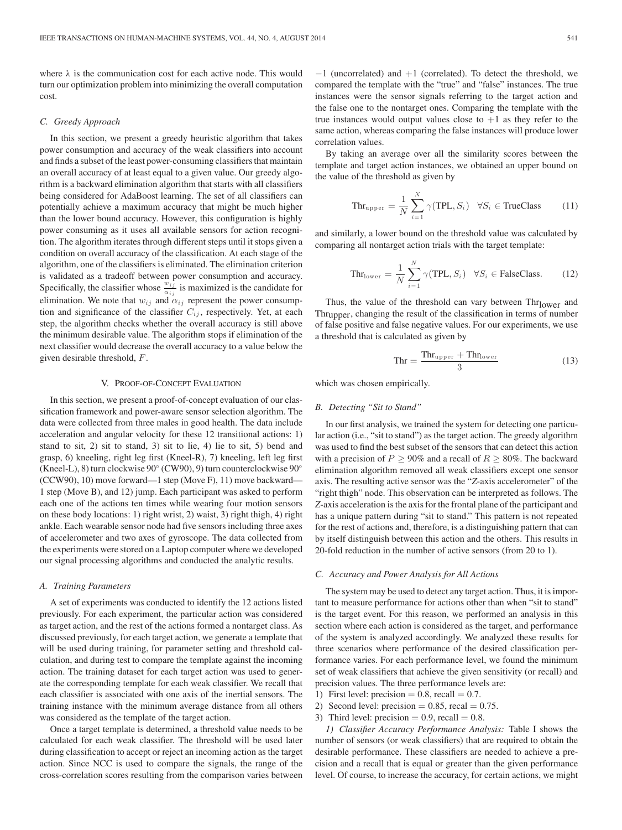where  $\lambda$  is the communication cost for each active node. This would turn our optimization problem into minimizing the overall computation cost.

## *C. Greedy Approach*

In this section, we present a greedy heuristic algorithm that takes power consumption and accuracy of the weak classifiers into account and finds a subset of the least power-consuming classifiers that maintain an overall accuracy of at least equal to a given value. Our greedy algorithm is a backward elimination algorithm that starts with all classifiers being considered for AdaBoost learning. The set of all classifiers can potentially achieve a maximum accuracy that might be much higher than the lower bound accuracy. However, this configuration is highly power consuming as it uses all available sensors for action recognition. The algorithm iterates through different steps until it stops given a condition on overall accuracy of the classification. At each stage of the algorithm, one of the classifiers is eliminated. The elimination criterion is validated as a tradeoff between power consumption and accuracy. Specifically, the classifier whose  $\frac{w_{ij}}{\alpha_{ij}}$  is maximized is the candidate for elimination. We note that  $w_{ij}$  and  $\alpha_{ij}$  represent the power consumption and significance of the classifier  $C_{ij}$ , respectively. Yet, at each step, the algorithm checks whether the overall accuracy is still above the minimum desirable value. The algorithm stops if elimination of the next classifier would decrease the overall accuracy to a value below the given desirable threshold, F.

#### V. PROOF-OF-CONCEPT EVALUATION

In this section, we present a proof-of-concept evaluation of our classification framework and power-aware sensor selection algorithm. The data were collected from three males in good health. The data include acceleration and angular velocity for these 12 transitional actions: 1) stand to sit, 2) sit to stand, 3) sit to lie, 4) lie to sit, 5) bend and grasp, 6) kneeling, right leg first (Kneel-R), 7) kneeling, left leg first (Kneel-L), 8) turn clockwise 90◦ (CW90), 9) turn counterclockwise 90◦ (CCW90), 10) move forward—1 step (Move F), 11) move backward— 1 step (Move B), and 12) jump. Each participant was asked to perform each one of the actions ten times while wearing four motion sensors on these body locations: 1) right wrist, 2) waist, 3) right thigh, 4) right ankle. Each wearable sensor node had five sensors including three axes of accelerometer and two axes of gyroscope. The data collected from the experiments were stored on a Laptop computer where we developed our signal processing algorithms and conducted the analytic results.

### *A. Training Parameters*

A set of experiments was conducted to identify the 12 actions listed previously. For each experiment, the particular action was considered as target action, and the rest of the actions formed a nontarget class. As discussed previously, for each target action, we generate a template that will be used during training, for parameter setting and threshold calculation, and during test to compare the template against the incoming action. The training dataset for each target action was used to generate the corresponding template for each weak classifier. We recall that each classifier is associated with one axis of the inertial sensors. The training instance with the minimum average distance from all others was considered as the template of the target action.

Once a target template is determined, a threshold value needs to be calculated for each weak classifier. The threshold will be used later during classification to accept or reject an incoming action as the target action. Since NCC is used to compare the signals, the range of the cross-correlation scores resulting from the comparison varies between −1 (uncorrelated) and +1 (correlated). To detect the threshold, we compared the template with the "true" and "false" instances. The true instances were the sensor signals referring to the target action and the false one to the nontarget ones. Comparing the template with the true instances would output values close to  $+1$  as they refer to the same action, whereas comparing the false instances will produce lower correlation values.

By taking an average over all the similarity scores between the template and target action instances, we obtained an upper bound on the value of the threshold as given by

$$
\text{Thr}_{\text{upper}} = \frac{1}{N} \sum_{i=1}^{N} \gamma(\text{TPL}, S_i) \quad \forall S_i \in \text{TrueClass} \tag{11}
$$

and similarly, a lower bound on the threshold value was calculated by comparing all nontarget action trials with the target template:

$$
\text{Thr}_{\text{lower}} = \frac{1}{N} \sum_{i=1}^{N} \gamma(\text{TPL}, S_i) \quad \forall S_i \in \text{FalseClass.} \tag{12}
$$

Thus, the value of the threshold can vary between  $\text{Thr}_{\text{lower}}$  and Thrupper, changing the result of the classification in terms of number of false positive and false negative values. For our experiments, we use a threshold that is calculated as given by

$$
\text{Thr} = \frac{\text{Thr}_{\text{upper}} + \text{Thr}_{\text{lower}}}{3} \tag{13}
$$

which was chosen empirically.

## *B. Detecting "Sit to Stand"*

In our first analysis, we trained the system for detecting one particular action (i.e., "sit to stand") as the target action. The greedy algorithm was used to find the best subset of the sensors that can detect this action with a precision of  $P \ge 90\%$  and a recall of  $R \ge 80\%$ . The backward elimination algorithm removed all weak classifiers except one sensor axis. The resulting active sensor was the "*Z*-axis accelerometer" of the "right thigh" node. This observation can be interpreted as follows. The *Z*-axis acceleration is the axis for the frontal plane of the participant and has a unique pattern during "sit to stand." This pattern is not repeated for the rest of actions and, therefore, is a distinguishing pattern that can by itself distinguish between this action and the others. This results in 20-fold reduction in the number of active sensors (from 20 to 1).

### *C. Accuracy and Power Analysis for All Actions*

The system may be used to detect any target action. Thus, it is important to measure performance for actions other than when "sit to stand" is the target event. For this reason, we performed an analysis in this section where each action is considered as the target, and performance of the system is analyzed accordingly. We analyzed these results for three scenarios where performance of the desired classification performance varies. For each performance level, we found the minimum set of weak classifiers that achieve the given sensitivity (or recall) and precision values. The three performance levels are:

- 1) First level: precision  $= 0.8$ , recall  $= 0.7$ .
- 2) Second level: precision  $= 0.85$ , recal  $= 0.75$ .
- 3) Third level: precision  $= 0.9$ , recall  $= 0.8$ .

*1) Classifier Accuracy Performance Analysis:* Table I shows the number of sensors (or weak classifiers) that are required to obtain the desirable performance. These classifiers are needed to achieve a precision and a recall that is equal or greater than the given performance level. Of course, to increase the accuracy, for certain actions, we might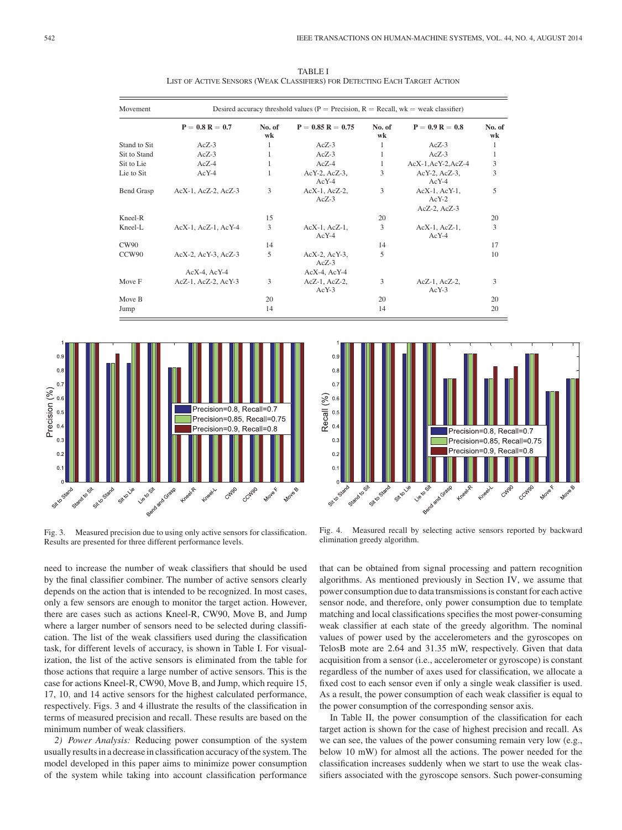| <b>Movement</b>   | Desired accuracy threshold values ( $P = \text{Precision}$ , $R = \text{Recall}$ , $wk = \text{weak classifier}$ ) |              |                                |              |                                                     |              |  |
|-------------------|--------------------------------------------------------------------------------------------------------------------|--------------|--------------------------------|--------------|-----------------------------------------------------|--------------|--|
|                   | $P = 0.8 R = 0.7$                                                                                                  | No. of<br>wk | $P = 0.85 R = 0.75$            | No. of<br>wk | $P = 0.9 R = 0.8$                                   | No. of<br>wk |  |
| Stand to Sit      | $AcZ-3$                                                                                                            | 1            | $AcZ-3$                        | 1            | $AcZ-3$                                             | 1            |  |
| Sit to Stand      | $AcZ-3$                                                                                                            |              | $AcZ-3$                        | 1            | $AcZ-3$                                             | 1            |  |
| Sit to Lie        | $AcZ-4$                                                                                                            |              | $AcZ-4$                        | 1            | AcX-1,AcY-2,AcZ-4                                   | 3            |  |
| Lie to Sit        | $AcY-4$                                                                                                            | 1            | AcY-2, AcZ-3,<br>$AcY-4$       | 3            | $AcY-2$ , $AcZ-3$ ,<br>$AcY-4$                      | 3            |  |
| Bend Grasp        | AcX-1, AcZ-2, AcZ-3                                                                                                | 3            | $AcX-1$ , $AcZ-2$ ,<br>$AcZ-3$ | 3            | $AcX-1$ , $AcY-1$ ,<br>$AcY-2$<br>$AcZ-2$ , $AcZ-3$ | 5            |  |
| Kneel-R           |                                                                                                                    | 15           |                                | 20           |                                                     | 20           |  |
| Kneel-L           | AcX-1, AcZ-1, AcY-4                                                                                                | 3            | $AcX-1$ , $AcZ-1$ ,<br>$AcY-4$ | 3            | $AcX-1$ , $AcZ-1$ ,<br>$AcY-4$                      | 3            |  |
| <b>CW90</b>       |                                                                                                                    | 14           |                                | 14           |                                                     | 17           |  |
| CCW <sub>90</sub> | AcX-2, AcY-3, AcZ-3                                                                                                | 5            | AcX-2, AcY-3,<br>$AcZ-3$       | 5            |                                                     | 10           |  |
|                   | $AcX-4$ , $AcY-4$                                                                                                  |              | $AcX-4$ , $AcY-4$              |              |                                                     |              |  |
| Move F            | AcZ-1, AcZ-2, AcY-3                                                                                                | 3            | AcZ-1, AcZ-2,<br>$AcY-3$       | 3            | $AcZ-1$ , $AcZ-2$ ,<br>$AcY-3$                      | 3            |  |
| Move B            |                                                                                                                    | 20           |                                | 20           |                                                     | 20           |  |
| Jump              |                                                                                                                    | 14           |                                | 14           |                                                     | 20           |  |

 $\overline{0}$ 

 $\Omega$ 

 $0.5$ 

 $\overline{0}$ .

 $\overline{0}$ .

 $\overline{0}$ .

 $\overline{0}$ .

Recall (%)

TABLE I LIST OF ACTIVE SENSORS (WEAK CLASSIFIERS) FOR DETECTING EACH TARGET ACTION



Fig. 3. Measured precision due to using only active sensors for classification. Results are presented for three different performance levels.

Bendard Grass sit osano **Property** O Stand Sitte<sup>Ve</sup> Fig. 4. Measured recall by selecting active sensors reported by backward elimination greedy algorithm.

Precision=0.8, Recall=0.7

Precision=0.9, Recall=0.8

Precision=0.85, Recall=0.75

CCMgo **Move**F

Cyligo

need to increase the number of weak classifiers that should be used by the final classifier combiner. The number of active sensors clearly depends on the action that is intended to be recognized. In most cases, only a few sensors are enough to monitor the target action. However, there are cases such as actions Kneel-R, CW90, Move B, and Jump where a larger number of sensors need to be selected during classification. The list of the weak classifiers used during the classification task, for different levels of accuracy, is shown in Table I. For visualization, the list of the active sensors is eliminated from the table for those actions that require a large number of active sensors. This is the case for actions Kneel-R, CW90, Move B, and Jump, which require 15, 17, 10, and 14 active sensors for the highest calculated performance, respectively. Figs. 3 and 4 illustrate the results of the classification in terms of measured precision and recall. These results are based on the minimum number of weak classifiers.

*2) Power Analysis:* Reducing power consumption of the system usually results in a decrease in classification accuracy of the system. The model developed in this paper aims to minimize power consumption of the system while taking into account classification performance that can be obtained from signal processing and pattern recognition algorithms. As mentioned previously in Section IV, we assume that power consumption due to data transmissions is constant for each active sensor node, and therefore, only power consumption due to template matching and local classifications specifies the most power-consuming weak classifier at each state of the greedy algorithm. The nominal values of power used by the accelerometers and the gyroscopes on TelosB mote are 2.64 and 31.35 mW, respectively. Given that data acquisition from a sensor (i.e., accelerometer or gyroscope) is constant regardless of the number of axes used for classification, we allocate a fixed cost to each sensor even if only a single weak classifier is used. As a result, the power consumption of each weak classifier is equal to the power consumption of the corresponding sensor axis.

In Table II, the power consumption of the classification for each target action is shown for the case of highest precision and recall. As we can see, the values of the power consuming remain very low (e.g., below 10 mW) for almost all the actions. The power needed for the classification increases suddenly when we start to use the weak classifiers associated with the gyroscope sensors. Such power-consuming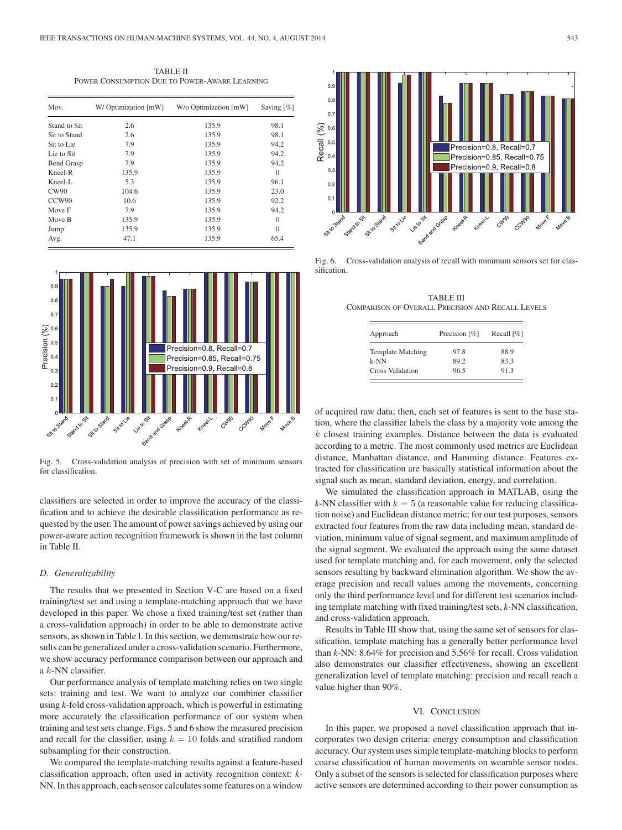TABLE II POWER CONSUMPTION DUE TO POWER-AWARE LEARNING

| Mov.              | W/Optimization [mW] | W/o Optimization [mW] | Saving $[\%]$ |
|-------------------|---------------------|-----------------------|---------------|
| Stand to Sit.     | 2.6                 | 135.9                 | 98.1          |
| Sit to Stand      | 2.6                 | 135.9                 | 98.1          |
| Sit to Lie        | 7.9                 | 135.9                 | 94.2          |
| Lie to Sit        | 7.9                 | 135.9                 | 94.2          |
| <b>Bend Grasp</b> | 7.9                 | 135.9                 | 94.2          |
| Kneel-R           | 135.9               | 135.9                 | $\Omega$      |
| Kneel-L           | 5.3                 | 135.9                 | 96.1          |
| CW90              | 104.6               | 135.9                 | 23.0          |
| CCW90             | 10.6                | 135.9                 | 92.2          |
| Move F            | 7.9                 | 135.9                 | 94.2          |
| Move B            | 135.9               | 135.9                 | $\Omega$      |
| Jump              | 135.9               | 135.9                 | $\Omega$      |
| Avg.              | 47.1                | 135.9                 | 65.4          |



Fig. 5. Cross-validation analysis of precision with set of minimum sensors for classification.

classifiers are selected in order to improve the accuracy of the classification and to achieve the desirable classification performance as requested by the user. The amount of power savings achieved by using our power-aware action recognition framework is shown in the last column in Table II.

#### *D. Generalizability*

The results that we presented in Section V-C are based on a fixed training/test set and using a template-matching approach that we have developed in this paper. We chose a fixed training/test set (rather than a cross-validation approach) in order to be able to demonstrate active sensors, as shown in Table I. In this section, we demonstrate how our results can be generalized under a cross-validation scenario. Furthermore, we show accuracy performance comparison between our approach and a k-NN classifier.

Our performance analysis of template matching relies on two single sets: training and test. We want to analyze our combiner classifier using *k*-fold cross-validation approach, which is powerful in estimating more accurately the classification performance of our system when training and test sets change. Figs. 5 and 6 show the measured precision and recall for the classifier, using  $k = 10$  folds and stratified random subsampling for their construction.

We compared the template-matching results against a feature-based classification approach, often used in activity recognition context: *k*-NN. In this approach, each sensor calculates some features on a window



Fig. 6. Cross-validation analysis of recall with minimum sensors set for classification.

TABLE III COMPARISON OF OVERALL PRECISION AND RECALL LEVELS

| Approach                 | Precision [%] | Recall $\lceil \% \rceil$ |
|--------------------------|---------------|---------------------------|
| <b>Template Matching</b> | 97.8          | 88.9                      |
| $k-NN$                   | 89.2          | 83.3                      |
| Cross Validation         | 96.5          | 91.3                      |

of acquired raw data; then, each set of features is sent to the base station, where the classifier labels the class by a majority vote among the  $k$  closest training examples. Distance between the data is evaluated according to a metric. The most commonly used metrics are Euclidean distance, Manhattan distance, and Hamming distance. Features extracted for classification are basically statistical information about the signal such as mean, standard deviation, energy, and correlation.

We simulated the classification approach in MATLAB, using the *k*-NN classifier with  $k = 5$  (a reasonable value for reducing classification noise) and Euclidean distance metric; for our test purposes, sensors extracted four features from the raw data including mean, standard deviation, minimum value of signal segment, and maximum amplitude of the signal segment. We evaluated the approach using the same dataset used for template matching and, for each movement, only the selected sensors resulting by backward elimination algorithm. We show the average precision and recall values among the movements, concerning only the third performance level and for different test scenarios including template matching with fixed training/test sets, *k*-NN classification, and cross-validation approach.

Results in Table III show that, using the same set of sensors for classification, template matching has a generally better performance level than *k*-NN: 8.64% for precision and 5.56% for recall. Cross validation also demonstrates our classifier effectiveness, showing an excellent generalization level of template matching: precision and recall reach a value higher than 90%.

#### VI. CONCLUSION

In this paper, we proposed a novel classification approach that incorporates two design criteria: energy consumption and classification accuracy. Our system uses simple template-matching blocks to perform coarse classification of human movements on wearable sensor nodes. Only a subset of the sensors is selected for classification purposes where active sensors are determined according to their power consumption as